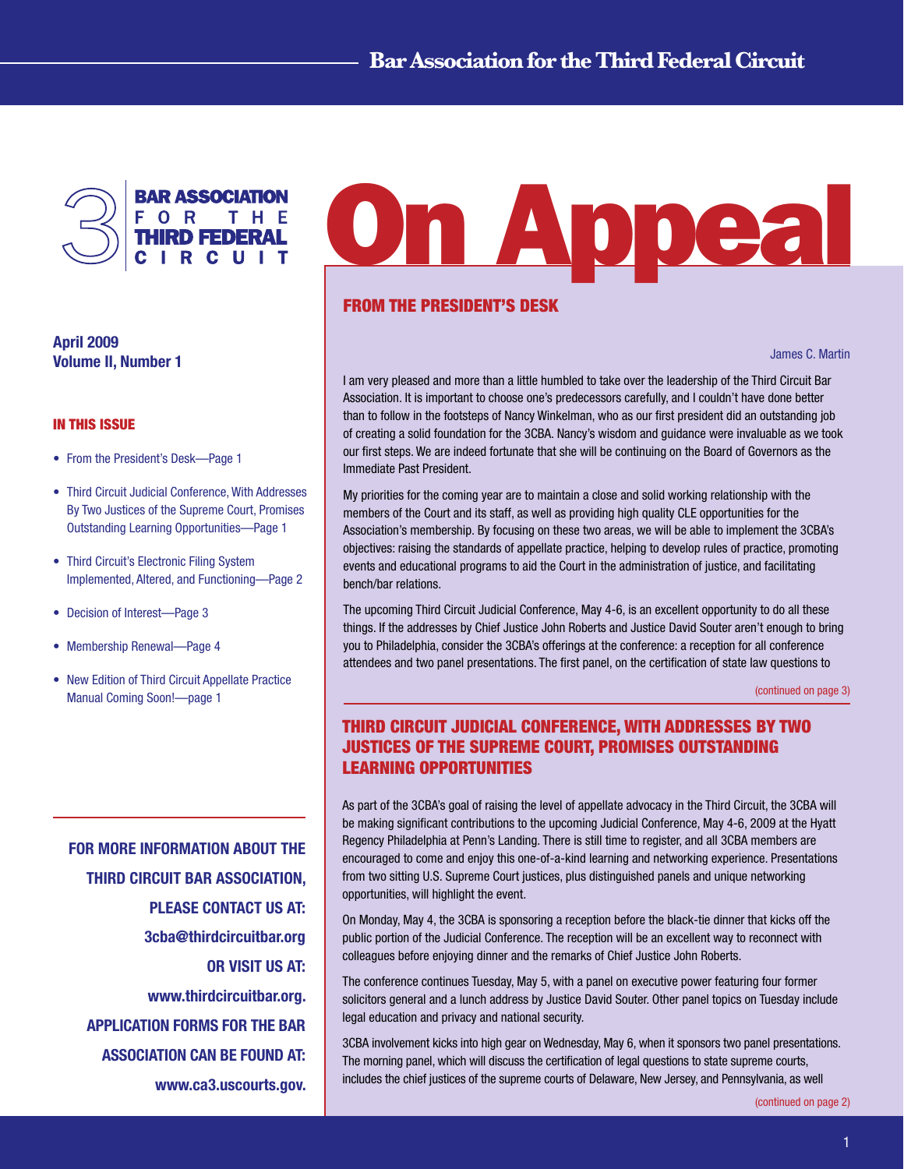

April 2009 Volume II, Number 1

#### In This Issue

- From the President's Desk—Page 1
- Third Circuit Judicial Conference, With Addresses By Two Justices of the Supreme Court, Promises Outstanding Learning Opportunities—Page 1
- Third Circuit's Electronic Filing System Implemented, Altered, and Functioning—Page 2
- Decision of Interest—Page 3
- Membership Renewal—Page 4
- New Edition of Third Circuit Appellate Practice Manual Coming Soon!—page 1

FOR MORE INFORMATION ABOUT THE THIRD CIRCUIT BAR ASSOCIATION, PLEASE CONTACT US AT: 3cba@thirdcircuitbar.org OR VISIT US AT: www.thirdcircuitbar.org. APPLICATION FORMS FOR THE BAR ASSOCIATION CAN BE FOUND AT: www.ca3.uscourts.gov.

# On Appeal

# From the President's Desk

James C. Martin

I am very pleased and more than a little humbled to take over the leadership of the Third Circuit Bar Association. It is important to choose one's predecessors carefully, and I couldn't have done better than to follow in the footsteps of Nancy Winkelman, who as our first president did an outstanding job of creating a solid foundation for the 3CBA. Nancy's wisdom and guidance were invaluable as we took our first steps. We are indeed fortunate that she will be continuing on the Board of Governors as the Immediate Past President.

My priorities for the coming year are to maintain a close and solid working relationship with the members of the Court and its staff, as well as providing high quality CLE opportunities for the Association's membership. By focusing on these two areas, we will be able to implement the 3CBA's objectives: raising the standards of appellate practice, helping to develop rules of practice, promoting events and educational programs to aid the Court in the administration of justice, and facilitating bench/bar relations.

The upcoming Third Circuit Judicial Conference, May 4-6, is an excellent opportunity to do all these things. If the addresses by Chief Justice John Roberts and Justice David Souter aren't enough to bring you to Philadelphia, consider the 3CBA's offerings at the conference: a reception for all conference attendees and two panel presentations. The first panel, on the certification of state law questions to

[\(continued on page 3](#page-2-0))

# Third Circuit Judicial Conference, with Addresses by Two Justices of the Supreme Court, Promises Outstanding Learning Opportunities

As part of the 3CBA's goal of raising the level of appellate advocacy in the Third Circuit, the 3CBA will be making significant contributions to the upcoming Judicial Conference, May 4-6, 2009 at the Hyatt Regency Philadelphia at Penn's Landing. There is still time to register, and all 3CBA members are encouraged to come and enjoy this one-of-a-kind learning and networking experience. Presentations from two sitting U.S. Supreme Court justices, plus distinguished panels and unique networking opportunities, will highlight the event.

On Monday, May 4, the 3CBA is sponsoring a reception before the black-tie dinner that kicks off the public portion of the Judicial Conference. The reception will be an excellent way to reconnect with colleagues before enjoying dinner and the remarks of Chief Justice John Roberts.

The conference continues Tuesday, May 5, with a panel on executive power featuring four former solicitors general and a lunch address by Justice David Souter. Other panel topics on Tuesday include legal education and privacy and national security.

3CBA involvement kicks into high gear on Wednesday, May 6, when it sponsors two panel presentations. The morning panel, which will discuss the certification of legal questions to state supreme courts, includes the chief justices of the supreme courts of Delaware, New Jersey, and Pennsylvania, as well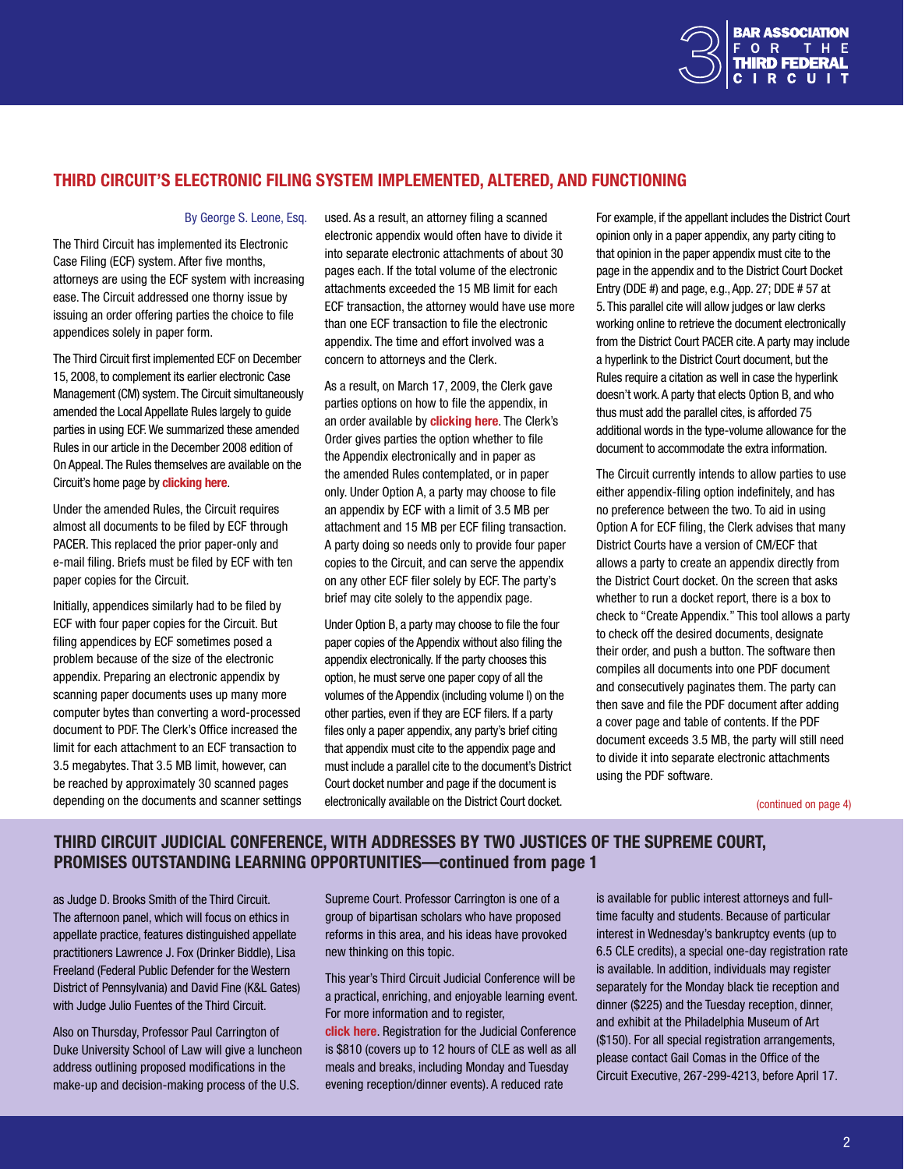

# <span id="page-1-0"></span>Third Circuit's Electronic Filing System Implemented, Altered, and Functioning

#### By George S. Leone, Esq.

The Third Circuit has implemented its Electronic Case Filing (ECF) system. After five months, attorneys are using the ECF system with increasing ease. The Circuit addressed one thorny issue by issuing an order offering parties the choice to file appendices solely in paper form.

The Third Circuit first implemented ECF on December 15, 2008, to complement its earlier electronic Case Management (CM) system. The Circuit simultaneously amended the Local Appellate Rules largely to guide parties in using ECF. We summarized these amended Rules in our article in the December 2008 edition of On Appeal. The Rules themselves are available on the Circuit's home page by **[clicking here](http://www.ca3.uscourts.gov/2008%20LARs%20APPENDIX.pdf)**.

Under the amended Rules, the Circuit requires almost all documents to be filed by ECF through PACER. This replaced the prior paper-only and e-mail filing. Briefs must be filed by ECF with ten paper copies for the Circuit.

Initially, appendices similarly had to be filed by ECF with four paper copies for the Circuit. But filing appendices by ECF sometimes posed a problem because of the size of the electronic appendix. Preparing an electronic appendix by scanning paper documents uses up many more computer bytes than converting a word-processed document to PDF. The Clerk's Office increased the limit for each attachment to an ECF transaction to 3.5 megabytes. That 3.5 MB limit, however, can be reached by approximately 30 scanned pages depending on the documents and scanner settings used. As a result, an attorney filing a scanned electronic appendix would often have to divide it into separate electronic attachments of about 30 pages each. If the total volume of the electronic attachments exceeded the 15 MB limit for each ECF transaction, the attorney would have use more than one ECF transaction to file the electronic appendix. The time and effort involved was a concern to attorneys and the Clerk.

As a result, on March 17, 2009, the Clerk gave parties options on how to file the appendix, in an order available by **[clicking here](http://www.ca3.uscourts.gov/ORDER_OPTIONS_FOR_FILING_APPENDIX.pdf)**. The Clerk's Order gives parties the option whether to file the Appendix electronically and in paper as the amended Rules contemplated, or in paper only. Under Option A, a party may choose to file an appendix by ECF with a limit of 3.5 MB per attachment and 15 MB per ECF filing transaction. A party doing so needs only to provide four paper copies to the Circuit, and can serve the appendix on any other ECF filer solely by ECF. The party's brief may cite solely to the appendix page.

Under Option B, a party may choose to file the four paper copies of the Appendix without also filing the appendix electronically. If the party chooses this option, he must serve one paper copy of all the volumes of the Appendix (including volume I) on the other parties, even if they are ECF filers. If a party files only a paper appendix, any party's brief citing that appendix must cite to the appendix page and must include a parallel cite to the document's District Court docket number and page if the document is electronically available on the District Court docket.

For example, if the appellant includes the District Court opinion only in a paper appendix, any party citing to that opinion in the paper appendix must cite to the page in the appendix and to the District Court Docket Entry (DDE #) and page, e.g., App. 27; DDE # 57 at 5. This parallel cite will allow judges or law clerks working online to retrieve the document electronically from the District Court PACER cite. A party may include a hyperlink to the District Court document, but the Rules require a citation as well in case the hyperlink doesn't work. A party that elects Option B, and who thus must add the parallel cites, is afforded 75 additional words in the type-volume allowance for the document to accommodate the extra information.

The Circuit currently intends to allow parties to use either appendix-filing option indefinitely, and has no preference between the two. To aid in using Option A for ECF filing, the Clerk advises that many District Courts have a version of CM/ECF that allows a party to create an appendix directly from the District Court docket. On the screen that asks whether to run a docket report, there is a box to check to "Create Appendix." This tool allows a party to check off the desired documents, designate their order, and push a button. The software then compiles all documents into one PDF document and consecutively paginates them. The party can then save and file the PDF document after adding a cover page and table of contents. If the PDF document exceeds 3.5 MB, the party will still need to divide it into separate electronic attachments using the PDF software.

[\(continued on page 4](#page-3-0))

# Third Circuit Judicial Conference, with Addresses by Two Justices of the Supreme Court, Promises Outstanding Learning Opportunities—continued from page 1

as Judge D. Brooks Smith of the Third Circuit. The afternoon panel, which will focus on ethics in appellate practice, features distinguished appellate practitioners Lawrence J. Fox (Drinker Biddle), Lisa Freeland (Federal Public Defender for the Western District of Pennsylvania) and David Fine (K&L Gates) with Judge Julio Fuentes of the Third Circuit.

Also on Thursday, Professor Paul Carrington of Duke University School of Law will give a luncheon address outlining proposed modifications in the make-up and decision-making process of the U.S.

Supreme Court. Professor Carrington is one of a group of bipartisan scholars who have proposed reforms in this area, and his ideas have provoked new thinking on this topic.

This year's Third Circuit Judicial Conference will be a practical, enriching, and enjoyable learning event. For more information and to register,

[click here](http://www.ca3.uscourts.gov/judconf2009/confindex.htm). Registration for the Judicial Conference is \$810 (covers up to 12 hours of CLE as well as all meals and breaks, including Monday and Tuesday evening reception/dinner events). A reduced rate

is available for public interest attorneys and fulltime faculty and students. Because of particular interest in Wednesday's bankruptcy events (up to 6.5 CLE credits), a special one-day registration rate is available. In addition, individuals may register separately for the Monday black tie reception and dinner (\$225) and the Tuesday reception, dinner, and exhibit at the Philadelphia Museum of Art (\$150). For all special registration arrangements, please contact Gail Comas in the Office of the Circuit Executive, 267-299-4213, before April 17.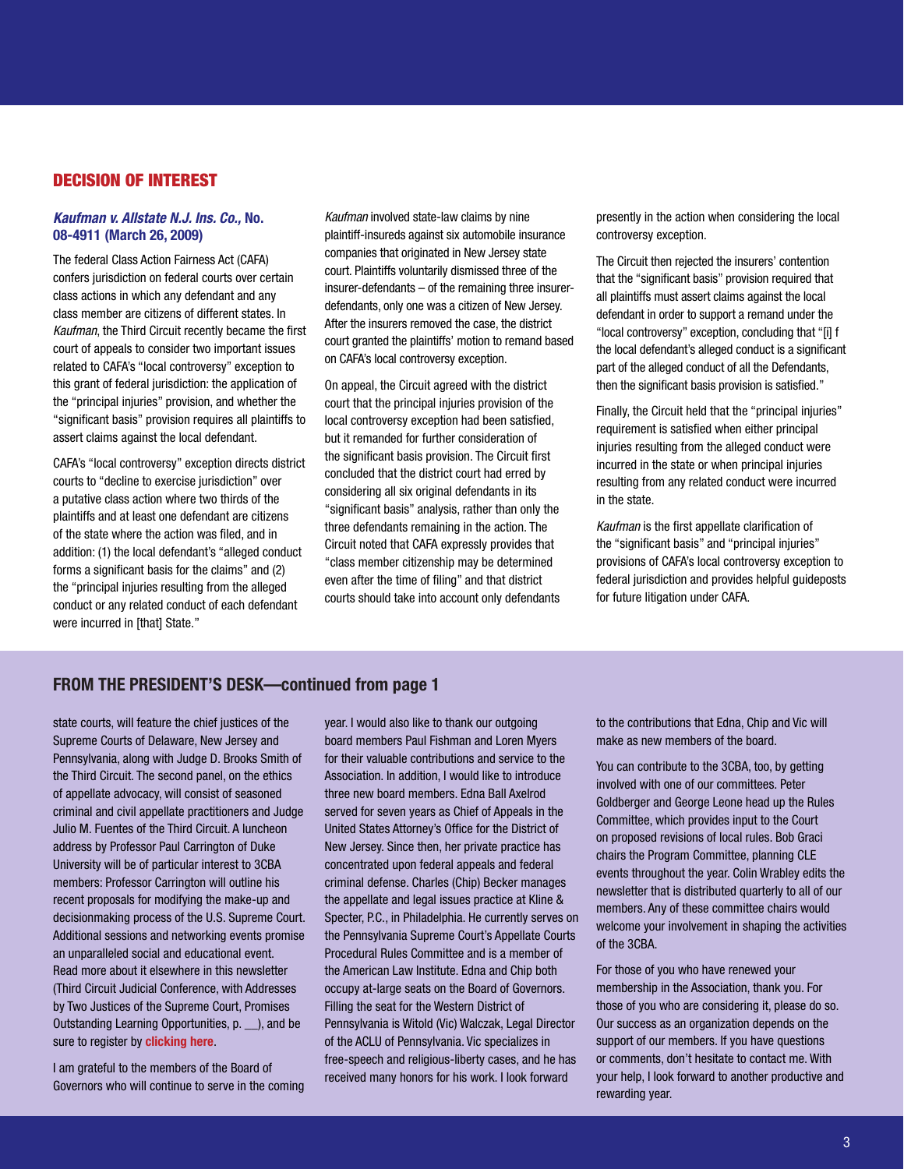# <span id="page-2-0"></span>Decision of Interest

#### *Kaufman v. Allstate N.J. Ins. Co.,* No. 08-4911 (March 26, 2009)

The federal Class Action Fairness Act (CAFA) confers jurisdiction on federal courts over certain class actions in which any defendant and any class member are citizens of different states. In *Kaufman*, the Third Circuit recently became the first court of appeals to consider two important issues related to CAFA's "local controversy" exception to this grant of federal jurisdiction: the application of the "principal injuries" provision, and whether the "significant basis" provision requires all plaintiffs to assert claims against the local defendant.

CAFA's "local controversy" exception directs district courts to "decline to exercise jurisdiction" over a putative class action where two thirds of the plaintiffs and at least one defendant are citizens of the state where the action was filed, and in addition: (1) the local defendant's "alleged conduct forms a significant basis for the claims" and (2) the "principal injuries resulting from the alleged conduct or any related conduct of each defendant were incurred in [that] State."

*Kaufman* involved state-law claims by nine plaintiff-insureds against six automobile insurance companies that originated in New Jersey state court. Plaintiffs voluntarily dismissed three of the insurer-defendants – of the remaining three insurerdefendants, only one was a citizen of New Jersey. After the insurers removed the case, the district court granted the plaintiffs' motion to remand based on CAFA's local controversy exception.

On appeal, the Circuit agreed with the district court that the principal injuries provision of the local controversy exception had been satisfied, but it remanded for further consideration of the significant basis provision. The Circuit first concluded that the district court had erred by considering all six original defendants in its "significant basis" analysis, rather than only the three defendants remaining in the action. The Circuit noted that CAFA expressly provides that "class member citizenship may be determined even after the time of filing" and that district courts should take into account only defendants presently in the action when considering the local controversy exception.

The Circuit then rejected the insurers' contention that the "significant basis" provision required that all plaintiffs must assert claims against the local defendant in order to support a remand under the "local controversy" exception, concluding that "[i] f the local defendant's alleged conduct is a significant part of the alleged conduct of all the Defendants, then the significant basis provision is satisfied."

Finally, the Circuit held that the "principal injuries" requirement is satisfied when either principal injuries resulting from the alleged conduct were incurred in the state or when principal injuries resulting from any related conduct were incurred in the state.

*Kaufman* is the first appellate clarification of the "significant basis" and "principal injuries" provisions of CAFA's local controversy exception to federal jurisdiction and provides helpful guideposts for future litigation under CAFA.

#### FROM THE PRESIDENT'S DESK—continued from page 1

state courts, will feature the chief justices of the Supreme Courts of Delaware, New Jersey and Pennsylvania, along with Judge D. Brooks Smith of the Third Circuit. The second panel, on the ethics of appellate advocacy, will consist of seasoned criminal and civil appellate practitioners and Judge Julio M. Fuentes of the Third Circuit. A luncheon address by Professor Paul Carrington of Duke University will be of particular interest to 3CBA members: Professor Carrington will outline his recent proposals for modifying the make-up and decisionmaking process of the U.S. Supreme Court. Additional sessions and networking events promise an unparalleled social and educational event. Read more about it elsewhere in this newsletter (Third Circuit Judicial Conference, with Addresses by Two Justices of the Supreme Court, Promises Outstanding Learning Opportunities, p. \_\_), and be sure to register by [clicking here](http://www.ca3.uscourts.gov/judconf2009/confindex.htm).

I am grateful to the members of the Board of Governors who will continue to serve in the coming year. I would also like to thank our outgoing board members Paul Fishman and Loren Myers for their valuable contributions and service to the Association. In addition, I would like to introduce three new board members. Edna Ball Axelrod served for seven years as Chief of Appeals in the United States Attorney's Office for the District of New Jersey. Since then, her private practice has concentrated upon federal appeals and federal criminal defense. Charles (Chip) Becker manages the appellate and legal issues practice at Kline & Specter, P.C., in Philadelphia. He currently serves on the Pennsylvania Supreme Court's Appellate Courts Procedural Rules Committee and is a member of the American Law Institute. Edna and Chip both occupy at-large seats on the Board of Governors. Filling the seat for the Western District of Pennsylvania is Witold (Vic) Walczak, Legal Director of the ACLU of Pennsylvania. Vic specializes in free-speech and religious-liberty cases, and he has received many honors for his work. I look forward

to the contributions that Edna, Chip and Vic will make as new members of the board.

You can contribute to the 3CBA, too, by getting involved with one of our committees. Peter Goldberger and George Leone head up the Rules Committee, which provides input to the Court on proposed revisions of local rules. Bob Graci chairs the Program Committee, planning CLE events throughout the year. Colin Wrabley edits the newsletter that is distributed quarterly to all of our members. Any of these committee chairs would welcome your involvement in shaping the activities of the 3CBA.

For those of you who have renewed your membership in the Association, thank you. For those of you who are considering it, please do so. Our success as an organization depends on the support of our members. If you have questions or comments, don't hesitate to contact me. With your help, I look forward to another productive and rewarding year.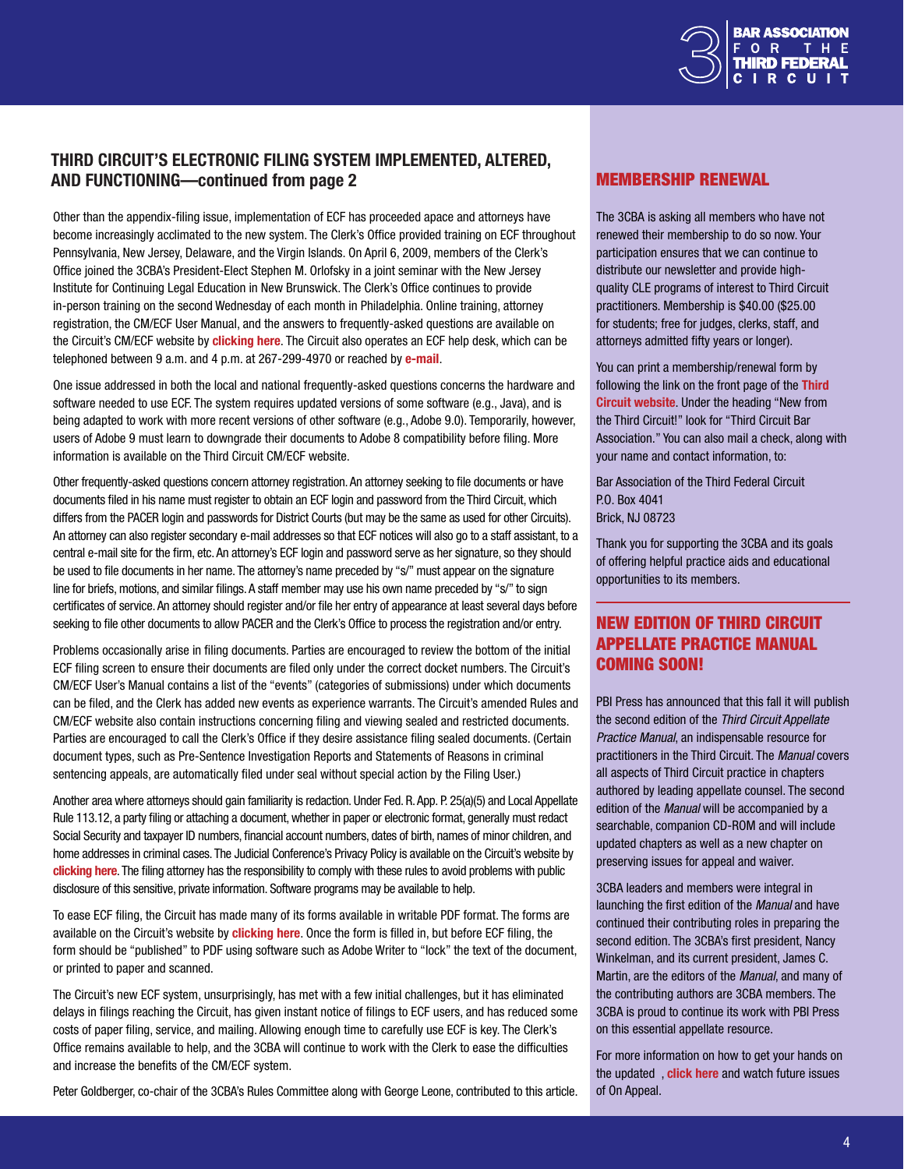

# <span id="page-3-0"></span>Third Circuit's Electronic Filing System Implemented, Altered, and Functioning—continued from page 2

Other than the appendix-filing issue, implementation of ECF has proceeded apace and attorneys have become increasingly acclimated to the new system. The Clerk's Office provided training on ECF throughout Pennsylvania, New Jersey, Delaware, and the Virgin Islands. On April 6, 2009, members of the Clerk's Office joined the 3CBA's President-Elect Stephen M. Orlofsky in a joint seminar with the New Jersey Institute for Continuing Legal Education in New Brunswick. The Clerk's Office continues to provide in-person training on the second Wednesday of each month in Philadelphia. Online training, attorney registration, the CM/ECF User Manual, and the answers to frequently-asked questions are available on the Circuit's CM/ECF website by [clicking here](http://www.ca3.uscourts.gov/ecfwebsite/default.aspx). The Circuit also operates an ECF help desk, which can be telephoned between 9 a.m. and 4 p.m. at 267-299-4970 or reached by [e-mail](mailto: ecf.helpdesk@ca3.uscourts.gov).

One issue addressed in both the local and national frequently-asked questions concerns the hardware and software needed to use ECF. The system requires updated versions of some software (e.g., Java), and is being adapted to work with more recent versions of other software (e.g., Adobe 9.0). Temporarily, however, users of Adobe 9 must learn to downgrade their documents to Adobe 8 compatibility before filing. More information is available on the Third Circuit CM/ECF website.

Other frequently-asked questions concern attorney registration. An attorney seeking to file documents or have documents filed in his name must register to obtain an ECF login and password from the Third Circuit, which differs from the PACER login and passwords for District Courts (but may be the same as used for other Circuits). An attorney can also register secondary e-mail addresses so that ECF notices will also go to a staff assistant, to a central e-mail site for the firm, etc. An attorney's ECF login and password serve as her signature, so they should be used to file documents in her name. The attorney's name preceded by "s/" must appear on the signature line for briefs, motions, and similar filings. A staff member may use his own name preceded by "s/" to sign certificates of service. An attorney should register and/or file her entry of appearance at least several days before seeking to file other documents to allow PACER and the Clerk's Office to process the registration and/or entry.

Problems occasionally arise in filing documents. Parties are encouraged to review the bottom of the initial ECF filing screen to ensure their documents are filed only under the correct docket numbers. The Circuit's CM/ECF User's Manual contains a list of the "events" (categories of submissions) under which documents can be filed, and the Clerk has added new events as experience warrants. The Circuit's amended Rules and CM/ECF website also contain instructions concerning filing and viewing sealed and restricted documents. Parties are encouraged to call the Clerk's Office if they desire assistance filing sealed documents. (Certain document types, such as Pre-Sentence Investigation Reports and Statements of Reasons in criminal sentencing appeals, are automatically filed under seal without special action by the Filing User.)

Another area where attorneys should gain familiarity is redaction. Under Fed. R. App. P. 25(a)(5) and Local Appellate Rule 113.12, a party filing or attaching a document, whether in paper or electronic format, generally must redact Social Security and taxpayer ID numbers, financial account numbers, dates of birth, names of minor children, and home addresses in criminal cases. The Judicial Conference's Privacy Policy is available on the Circuit's website by [clicking here](http://www.ca3.uscourts.gov/internet/General%20Information/Privacy.pdf). The filing attorney has the responsibility to comply with these rules to avoid problems with public disclosure of this sensitive, private information. Software programs may be available to help.

To ease ECF filing, the Circuit has made many of its forms available in writable PDF format. The forms are available on the Circuit's website by [clicking here](http://www.ca3.uscourts.gov/coaforms.htm). Once the form is filled in, but before ECF filing, the form should be "published" to PDF using software such as Adobe Writer to "lock" the text of the document, or printed to paper and scanned.

The Circuit's new ECF system, unsurprisingly, has met with a few initial challenges, but it has eliminated delays in filings reaching the Circuit, has given instant notice of filings to ECF users, and has reduced some costs of paper filing, service, and mailing. Allowing enough time to carefully use ECF is key. The Clerk's Office remains available to help, and the 3CBA will continue to work with the Clerk to ease the difficulties and increase the benefits of the CM/ECF system.

Peter Goldberger, co-chair of the 3CBA's Rules Committee along with George Leone, contributed to this article.

### Membership Renewal

The 3CBA is asking all members who have not renewed their membership to do so now. Your participation ensures that we can continue to distribute our newsletter and provide highquality CLE programs of interest to Third Circuit practitioners. Membership is \$40.00 (\$25.00 for students; free for judges, clerks, staff, and attorneys admitted fifty years or longer).

You can print a membership/renewal form by following the link on the front page of the [Third](http://www.ca3.uscourts.gov/)  [Circuit website](http://www.ca3.uscourts.gov/). Under the heading "New from the Third Circuit!" look for "Third Circuit Bar Association." You can also mail a check, along with your name and contact information, to:

Bar Association of the Third Federal Circuit P.O. Box 4041 Brick, NJ 08723

Thank you for supporting the 3CBA and its goals of offering helpful practice aids and educational opportunities to its members.

# New Edition of Third Circuit Appellate Practice Manual Coming Soon!

PBI Press has announced that this fall it will publish the second edition of the *Third Circuit Appellate Practice Manual*, an indispensable resource for practitioners in the Third Circuit. The *Manual* covers all aspects of Third Circuit practice in chapters authored by leading appellate counsel. The second edition of the *Manual* will be accompanied by a searchable, companion CD-ROM and will include updated chapters as well as a new chapter on preserving issues for appeal and waiver.

3CBA leaders and members were integral in launching the first edition of the *Manual* and have continued their contributing roles in preparing the second edition. The 3CBA's first president, Nancy Winkelman, and its current president, James C. Martin, are the editors of the *Manual*, and many of the contributing authors are 3CBA members. The 3CBA is proud to continue its work with PBI Press on this essential appellate resource.

For more information on how to get your hands on the updated, [click here](www.pbi.org) and watch future issues of On Appeal.